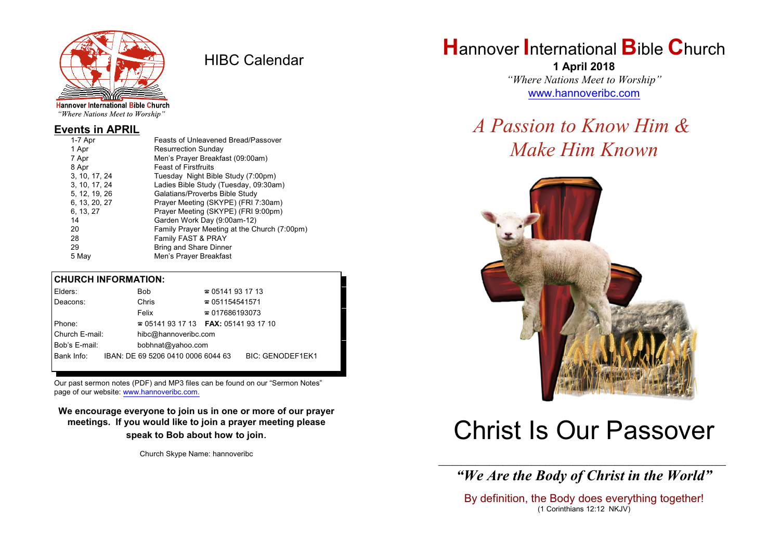

HIBC Calendar

"Where Nations Meet to Worship"

#### **Events in APRIL**

| 1-7 Apr       | Feasts of Unleavened Bread/Passover          |
|---------------|----------------------------------------------|
| 1 Apr         | <b>Resurrection Sunday</b>                   |
| 7 Apr         | Men's Prayer Breakfast (09:00am)             |
| 8 Apr         | <b>Feast of Firstfruits</b>                  |
| 3, 10, 17, 24 | Tuesday Night Bible Study (7:00pm)           |
| 3, 10, 17, 24 | Ladies Bible Study (Tuesday, 09:30am)        |
| 5, 12, 19, 26 | Galatians/Proverbs Bible Study               |
| 6, 13, 20, 27 | Prayer Meeting (SKYPE) (FRI 7:30am)          |
| 6, 13, 27     | Prayer Meeting (SKYPE) (FRI 9:00pm)          |
| 14            | Garden Work Day (9:00am-12)                  |
| 20            | Family Prayer Meeting at the Church (7:00pm) |
| 28            | Family FAST & PRAY                           |
| 29            | Bring and Share Dinner                       |
| 5 May         | Men's Prayer Breakfast                       |
|               |                                              |

#### **CHURCH INFORMATION:**

| Elders:        | Bob                                      | $\approx 05141931713$  |                         |
|----------------|------------------------------------------|------------------------|-------------------------|
| Deacons:       | Chris                                    | $\approx 051154541571$ |                         |
|                | Felix                                    | $\approx 017686193073$ |                         |
| Phone:         | $\approx 05141931713$ FAX: 0514193 17 10 |                        |                         |
| Church E-mail: | hibc@hannoveribc.com                     |                        |                         |
| Bob's E-mail:  | bobhnat@yahoo.com                        |                        |                         |
| Bank Info:     | IBAN: DE 69 5206 0410 0006 6044 63       |                        | <b>BIC: GENODEF1EK1</b> |

Our past sermon notes (PDF) and MP3 files can be found on our "Sermon Notes" page of our website: [www.hannoveribc.com.](http://www.hannoveribc.com.)

**We encourage everyone to join us in one or more of our prayer meetings. If you would like to join a prayer meeting please speak to Bob about how to join**.

Church Skype Name: hannoveribc

## **H**annover **I**nternational **B**ible **C**hurch

**1 April 2018** *"Where Nations Meet to Worship"* [www.hannoveribc.com](http://www.hannoveribc.com)

## *A Passion to Know Him & Make Him Known*



# Christ Is Our Passover

\_\_\_\_\_\_\_\_\_\_\_\_\_\_\_\_\_\_\_\_\_\_\_\_\_\_\_\_\_\_\_\_\_\_\_\_\_\_\_\_\_\_\_\_\_\_\_\_\_\_\_\_\_\_\_\_\_\_\_\_\_\_ *"We Are the Body of Christ in the World"*

By definition, the Body does everything together! (1 Corinthians 12:12 NKJV)